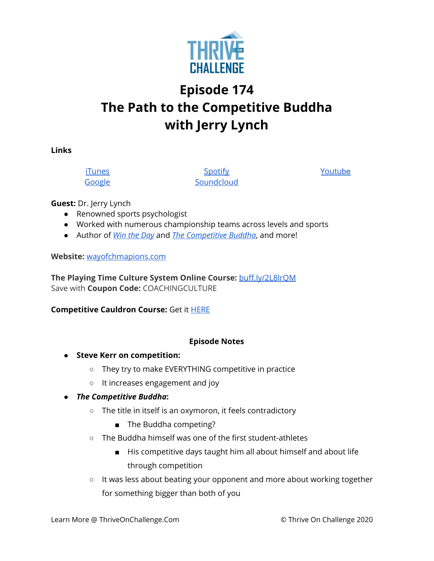

## **Episode 174 The Path to the Competitive Buddha with Jerry Lynch**

**Links**

[iTunes](https://podcasts.apple.com/us/podcast/coaching-culture/id1286560192) [Google](https://podcasts.google.com/feed/aHR0cHM6Ly9mZWVkcy5zb3VuZGNsb3VkLmNvbS91c2Vycy9zb3VuZGNsb3VkOnVzZXJzOjQxMDQyNzcvc291bmRzLnJzcw?ved=2ahUKEwiSpYquy9vqAhVbQUEAHSAkC88Q4aUDegQIARAC)

**[Spotify](https://open.spotify.com/show/336Hs8udk8s0yXuK3BzSOq) [Soundcloud](https://soundcloud.com/thriveonchallenge)**  [Youtu](https://www.youtube.com/channel/UC3vIljCBzwHcPyVIx9kiHvw)[be](https://www.youtube.com/channel/UC3vIljCBzwHcPyVIx9kiHvw)

**Guest:** Dr. Jerry Lynch

- Renowned sports psychologist
- Worked with numerous championship teams across levels and sports
- Author of *Win the [Day](https://www.amazon.com/Win-Day-Jerry-Lynch/dp/1606794779)* and *The [Competitive](https://www.amazon.com/Competitive-Buddha-Your-Sports-Leadership/dp/1642505897/ref=sr_1_1?dchild=1&keywords=the+competitive+buddha&qid=1608058323&s=books&sr=1-1) Buddha*, and more!

**Website:** [wayofchmapions.com](http://wayofchampions.com/)

**The Playing Time Culture System Online Course:** [buff.ly/2L8lrQM](https://gate.sc/?url=http%3A%2F%2Fbuff.ly%2F2L8lrQM&token=32ca9-1-1607437698203) Save with **Coupon Code:** COACHINGCULTURE

**Competitive Cauldron Course:** Get it [HERE](http://buff.ly/2Bssm2P)

## **Episode Notes**

- **● Steve Kerr on competition:**
	- They try to make EVERYTHING competitive in practice
	- It increases engagement and joy

## *● The Competitive Buddha***:**

- The title in itself is an oxymoron, it feels contradictory
	- The Buddha competing?
- The Buddha himself was one of the first student-athletes
	- His competitive days taught him all about himself and about life through competition
- It was less about beating your opponent and more about working together for something bigger than both of you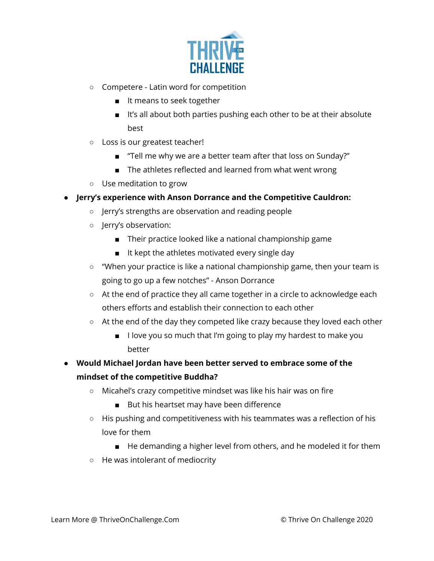

- Competere Latin word for competition
	- It means to seek together
	- It's all about both parties pushing each other to be at their absolute best
- Loss is our greatest teacher!
	- "Tell me why we are a better team after that loss on Sunday?"
	- The athletes reflected and learned from what went wrong
- Use meditation to grow
- **● Jerry's experience with Anson Dorrance and the Competitive Cauldron:**
	- Jerry's strengths are observation and reading people
	- Jerry's observation:
		- Their practice looked like a national championship game
		- It kept the athletes motivated every single day
	- "When your practice is like a national championship game, then your team is going to go up a few notches" - Anson Dorrance
	- At the end of practice they all came together in a circle to acknowledge each others efforts and establish their connection to each other
	- $\circ$  At the end of the day they competed like crazy because they loved each other
		- I love you so much that I'm going to play my hardest to make you better
- **● Would Michael Jordan have been better served to embrace some of the mindset of the competitive Buddha?**
	- Micahel's crazy competitive mindset was like his hair was on fire
		- But his heartset may have been difference
	- His pushing and competitiveness with his teammates was a reflection of his love for them
		- He demanding a higher level from others, and he modeled it for them
	- He was intolerant of mediocrity